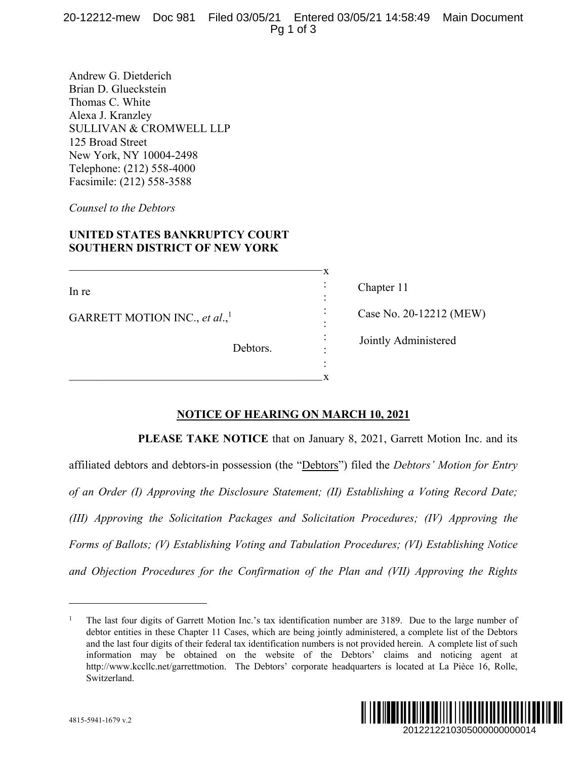Andrew G. Dietderich Brian D. Glueckstein Thomas C. White Alexa J. Kranzley SULLIVAN & CROMWELL LLP 125 Broad Street New York, NY 10004-2498 Telephone: (212) 558-4000 Facsimile: (212) 558-3588

*Counsel to the Debtors* 

## **UNITED STATES BANKRUPTCY COURT SOUTHERN DISTRICT OF NEW YORK**

In re GARRETT MOTION INC., *et al.*,<sup>1</sup> Debtors. : : : : : : :

 $\mathcal{L}_\text{max}$  , and the set of the set of the set of the set of the set of the set of the set of the set of the set of the set of the set of the set of the set of the set of the set of the set of the set of the set of the

 $\mathcal{L}_\text{max}$  and  $\mathcal{L}_\text{max}$  and  $\mathcal{L}_\text{max}$  and  $\mathcal{L}_\text{max}$  and  $\mathcal{L}_\text{max}$ 

 Chapter 11 Case No. 20-12212 (MEW) Jointly Administered

## **NOTICE OF HEARING ON MARCH 10, 2021**

x

x

**PLEASE TAKE NOTICE** that on January 8, 2021, Garrett Motion Inc. and its affiliated debtors and debtors-in possession (the "Debtors") filed the *Debtors' Motion for Entry of an Order (I) Approving the Disclosure Statement; (II) Establishing a Voting Record Date; (III) Approving the Solicitation Packages and Solicitation Procedures; (IV) Approving the Forms of Ballots; (V) Establishing Voting and Tabulation Procedures; (VI) Establishing Notice and Objection Procedures for the Confirmation of the Plan and (VII) Approving the Rights* 

<sup>1</sup> The last four digits of Garrett Motion Inc.'s tax identification number are 3189. Due to the large number of debtor entities in these Chapter 11 Cases, which are being jointly administered, a complete list of the Debtors and the last four digits of their federal tax identification numbers is not provided herein. A complete list of such information may be obtained on the website of the Debtors' claims and noticing agent at http://www.kccllc.net/garrettmotion. The Debtors' corporate headquarters is located at La Pièce 16, Rolle, Switzerland.



 $\overline{a}$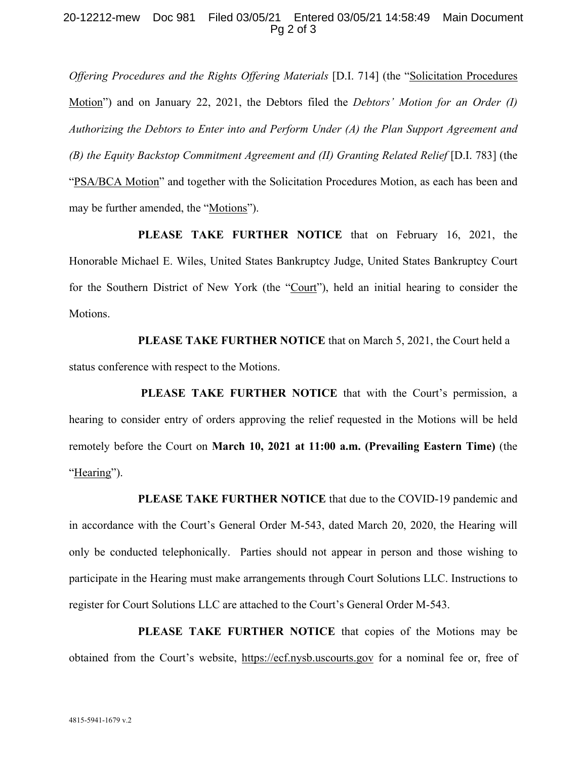## 20-12212-mew Doc 981 Filed 03/05/21 Entered 03/05/21 14:58:49 Main Document Pg 2 of 3

*Offering Procedures and the Rights Offering Materials* [D.I. 714] (the "Solicitation Procedures Motion") and on January 22, 2021, the Debtors filed the *Debtors' Motion for an Order (I) Authorizing the Debtors to Enter into and Perform Under (A) the Plan Support Agreement and (B) the Equity Backstop Commitment Agreement and (II) Granting Related Relief* [D.I. 783] (the "PSA/BCA Motion" and together with the Solicitation Procedures Motion, as each has been and may be further amended, the "Motions").

**PLEASE TAKE FURTHER NOTICE** that on February 16, 2021, the Honorable Michael E. Wiles, United States Bankruptcy Judge, United States Bankruptcy Court for the Southern District of New York (the "Court"), held an initial hearing to consider the Motions.

**PLEASE TAKE FURTHER NOTICE** that on March 5, 2021, the Court held a status conference with respect to the Motions.

**PLEASE TAKE FURTHER NOTICE** that with the Court's permission, a hearing to consider entry of orders approving the relief requested in the Motions will be held remotely before the Court on **March 10, 2021 at 11:00 a.m. (Prevailing Eastern Time)** (the "Hearing").

**PLEASE TAKE FURTHER NOTICE** that due to the COVID-19 pandemic and in accordance with the Court's General Order M-543, dated March 20, 2020, the Hearing will only be conducted telephonically. Parties should not appear in person and those wishing to participate in the Hearing must make arrangements through Court Solutions LLC. Instructions to register for Court Solutions LLC are attached to the Court's General Order M-543.

**PLEASE TAKE FURTHER NOTICE** that copies of the Motions may be obtained from the Court's website, https://ecf.nysb.uscourts.gov for a nominal fee or, free of